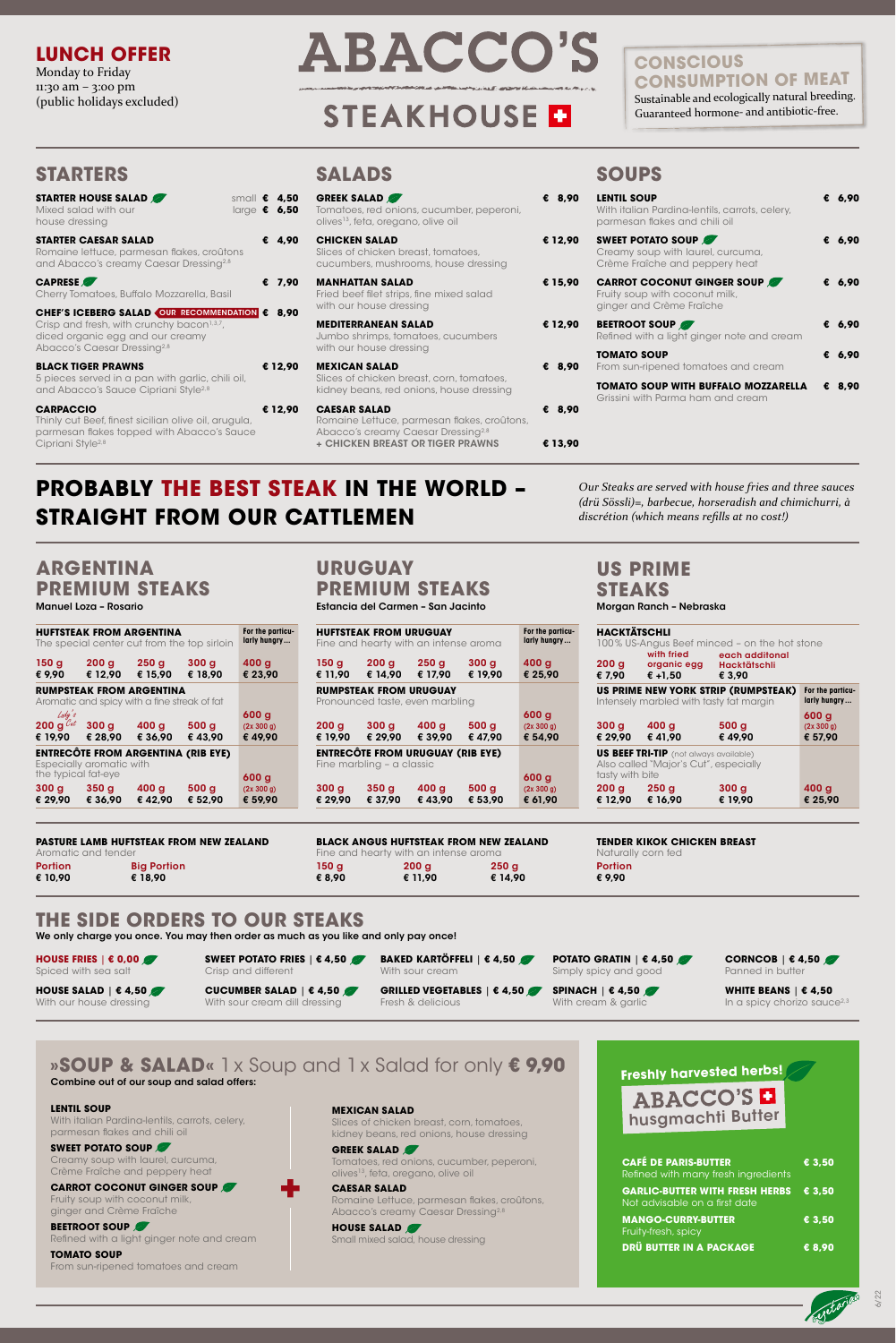# **STARTERS**

| <b>LENTIL SOUP</b><br>With italian Pardina-lentils, carrots, celery,<br>parmesan flakes and chili oil |   | € 6,90 |
|-------------------------------------------------------------------------------------------------------|---|--------|
| <b>SWEET POTATO SOUP</b><br>Creamy soup with laurel, curcuma,<br>Crème Fraîche and peppery heat       |   | € 6,90 |
| <b>CARROT COCONUT GINGER SOUP</b><br>Fruity soup with coconut milk,<br>ginger and Crème Fraîche       |   | € 6.90 |
| <b>BEETROOT SOUP</b><br>Refined with a light ginger note and cream                                    |   | € 6.90 |
| <b>TOMATO SOUP</b><br>From sun-ripened tomatoes and cream                                             | € | 6,90   |
| TOMATO SOUP WITH BUFFALO MOZZARELLA<br>Grissini with Parma ham and cream                              | € | 8,90   |

# **SOUPS**

| <b>GREEK SALAD</b><br>Tomatoes, red onions, cucumber, peperoni,<br>olives <sup>13</sup> , feta, oregano, olive oil   | € 8.90  |
|----------------------------------------------------------------------------------------------------------------------|---------|
| <b>CHICKEN SALAD</b><br>Slices of chicken breast, tomatoes,<br>cucumbers, mushrooms, house dressing                  | € 12,90 |
| <b>MANHATTAN SALAD</b><br>Fried beef filet strips, fine mixed salad<br>with our house dressing                       | € 15,90 |
| <b>MEDITERRANEAN SALAD</b><br>Jumbo shrimps, tomatoes, cucumbers<br>with our house dressing                          | € 12,90 |
| <b>MEXICAN SALAD</b><br>Slices of chicken breast, corn, tomatoes,<br>kidney beans, red onions, house dressing        | € 8,90  |
| <b>CAESAR SALAD</b><br>Romaine Lettuce, parmesan flakes, croûtons,<br>Abacco's creamy Caesar Dressing <sup>2,8</sup> | € 8,90  |
| <b>+ CHICKEN BREAST OR TIGER PRAWNS</b>                                                                              | € 13,90 |

# **SALADS**

Manuel Loza – Rosario Estancia del Carmen – San Jacinto

**ARGENTINA PREMIUM STEAKS**

**WHITE BEANS** | **€ 4,50**  In a spicy chorizo sauce<sup>2,3</sup>

**CUCUMBER SALAD** | **€ 4,50**  With sour cream dill dressing

|                                               | <b>HUFTSTEAK FROM ARGENTINA</b>                                                 |                             | The special center cut from the top sirloin | For the particu-<br>larly hungry         |
|-----------------------------------------------|---------------------------------------------------------------------------------|-----------------------------|---------------------------------------------|------------------------------------------|
| 150 <sub>g</sub><br>€ 9,90                    | 200 <sub>g</sub><br>€ 12.90                                                     | 250 <sub>g</sub><br>€ 15,90 | 300 <sub>g</sub><br>€ 18,90                 | 400 <sub>g</sub><br>€ 23.90              |
|                                               | <b>RUMPSTEAK FROM ARGENTINA</b><br>Aromatic and spicy with a fine streak of fat |                             |                                             |                                          |
| Lady's<br>200 g $\mathcal{C}_{at}$<br>€ 19,90 | 300 <sub>g</sub><br>€ 28.90                                                     | 400 g<br>€ 36,90            | 500 <sub>g</sub><br>€43.90                  | 600 <sub>g</sub><br>(2x 300 g)<br>€49.90 |
|                                               | Especially aromatic with                                                        |                             | <b>ENTRECÔTE FROM ARGENTINA (RIB EYE)</b>   |                                          |
| 300 g                                         | the typical fat-eye<br>350 <sub>g</sub>                                         | 400 g                       | 500 <sub>g</sub>                            | 600 <sub>g</sub><br>(2x 300 g)           |
| € 29,90                                       | € 36.90                                                                         | €42.90                      | € 52.90                                     | € 59.90                                  |

|                             | <b>HUFTSTEAK FROM URUGUAY</b> | Fine and hearty with an intense aroma   |                             | For the particu-<br>larly hungry |
|-----------------------------|-------------------------------|-----------------------------------------|-----------------------------|----------------------------------|
| 150 <sub>g</sub><br>€ 11.90 | 200 <sub>g</sub><br>€ 14.90   | 250g<br>€ 17.90                         | 300 <sub>g</sub><br>€ 19.90 | 400 <sub>g</sub><br>€ 25,90      |
|                             | <b>RUMPSTEAK FROM URUGUAY</b> | Pronounced taste, even marbling         |                             |                                  |
|                             |                               |                                         |                             | 600 <sub>g</sub>                 |
| 200 g                       | 300g                          | 400 g                                   | 500 <sub>g</sub>            | (2x 300 g)                       |
| € 19,90                     | € 29,90                       | € 39,90                                 | € 47.90                     | € 54.90                          |
|                             | Fine marbling - a classic     | <b>ENTRECÔTE FROM URUGUAY (RIB EYE)</b> |                             |                                  |
|                             |                               |                                         |                             | 600 <sub>g</sub>                 |
| 300 <sub>g</sub>            | 350 <sub>g</sub>              | 400 <sub>g</sub>                        | 500 <sub>g</sub>            | (2x 300 g)                       |
| € 29.90                     | € 37.90                       | €43.90                                  | € 53,90                     | € 61.90                          |

Romaine Lettuce, parmesan flakes, croûtons, Abacco's creamy Caesar Dressing<sup>2,8</sup>

# **URUGUAY PREMIUM STEAKS**

ABACCO'S **D** husgmachti Butter

Morgan Ranch – Nebraska

| <b>STARTER HOUSE SALAD</b><br>Mixed salad with our<br>house dressing                                                                                                                    |  | small $\bm{\epsilon}$ 4,50<br>large $\epsilon$ 6,50 |
|-----------------------------------------------------------------------------------------------------------------------------------------------------------------------------------------|--|-----------------------------------------------------|
| <b>STARTER CAESAR SALAD</b><br>Romaine lettuce, parmesan flakes, croûtons<br>and Abacco's creamy Caesar Dressing <sup>2,8</sup>                                                         |  | € 4.90                                              |
| <b>CAPRESE</b><br>Cherry Tomatoes, Buffalo Mozzarella, Basil                                                                                                                            |  | € 7.90                                              |
| CHEF'S ICEBERG SALAD OUR RECOMMENDATION € 8,90<br>Crisp and fresh, with crunchy bacon <sup>1,3,7</sup> ,<br>diced organic egg and our creamy<br>Abacco's Caesar Dressing <sup>2,8</sup> |  |                                                     |
| <b>BLACK TIGER PRAWNS</b><br>5 pieces served in a pan with garlic, chili oil,<br>and Abacco's Sauce Cipriani Style <sup>2,8</sup>                                                       |  | € 12,90                                             |
| <b>CARPACCIO</b><br>Thinly cut Beef, finest sicilian olive oil, arugula,<br>parmesan flakes topped with Abacco's Sauce<br>Cipriani Style <sup>2,8</sup>                                 |  | € 12,90                                             |

### **US PRIME STEAKS**

#### **HACKTÄTSCHLI**

100 % US-Angus Beef minced – on the hot stone

#### **PASTURE LAMB HUFTSTEAK FROM NEW ZEALAND**

Aromatic and tender

| <b>Portion</b> | <b>Big Portion</b> |
|----------------|--------------------|
| € 10,90        | € 18.90            |

#### **BLACK ANGUS HUFTSTEAK FROM NEW ZEALAND**

Fine and hearty with an intense aroma 150 g € 8,90 200 g € 11,90 250 g € 14,90

#### **TENDER KIKOK CHICKEN BREAST**

Naturally corn fed **Portion** € 9,90

We only charge you once. You may then order as much as you like and only pay once!

# **THE SIDE ORDERS TO OUR STEAKS**

**HOUSE FRIES** | **€ 0,00**  Spiced with sea salt

**HOUSE SALAD** | **€ 4,50**  With our house dressing

**CORNCOB** | **€ 4,50** Panned in butter

**POTATO GRATIN** | **€ 4,50**  Simply spicy and good **BAKED KARTÖFFELI** | **€ 4,50** 

With cream & garlic

**SPINACH** | **€ 4,50 GRILLED VEGETABLES** | **€ 4,50** 

With sour cream

Fresh & delicious

**SWEET POTATO FRIES** | **€ 4,50**

Crisp and different

# **PROBABLY THE BEST STEAK IN THE WORLD – STRAIGHT FROM OUR CATTLEMEN**

| 200 <sub>g</sub><br>€ 7.90  | with fried<br>organic egg<br>€ +1.50                                                   | each additonal<br><b>Hacktätschli</b><br>€ 3.90 |                                           |
|-----------------------------|----------------------------------------------------------------------------------------|-------------------------------------------------|-------------------------------------------|
|                             | Intensely marbled with tasty fat margin                                                | US PRIME NEW YORK STRIP (RUMPSTEAK)             | For the particu-<br>larly hungry          |
| 300 <sub>g</sub><br>€ 29.90 | 400 <sub>g</sub><br>€41.90                                                             | 500 <sub>g</sub><br>€49.90                      | 600 <sub>g</sub><br>(2x 300 g)<br>€ 57.90 |
| tasty with bite             | <b>US BEEF TRI-TIP</b> (not always available)<br>Also called "Major's Cut", especially |                                                 |                                           |
| 200 <sub>g</sub><br>€ 12.90 | 250 <sub>g</sub><br>€ 16.90                                                            | 300g<br>€ 19.90                                 | 400 g<br>€ 25,90                          |

*Our Steaks are served with house fries and three sauces (drü Sössli)=, barbecue, horseradish and chimichurri, à discrétion (which means refills at no cost!)*

6/22

# **LUNCH OFFER**

Monday to Friday 11:30 am – 3:00 pm (public holidays excluded)

# **ABACCO'S**

# **STEAKHOUSE D**

| <b>CAFÉ DE PARIS-BUTTER</b><br>Refined with many fresh ingredients              | € 3.50 |
|---------------------------------------------------------------------------------|--------|
| GARLIC-BUTTER WITH FRESH HERBS $\epsilon$ 3,50<br>Not advisable on a first date |        |
| <b>MANGO-CURRY-BUTTER</b><br>Fruity-fresh, spicy                                | € 3.50 |
| <b>DRÜ BUTTER IN A PACKAGE</b>                                                  | € 8.90 |



# **»SOUP & SALAD«** 1 x Soup and 1 x Salad for only **€ 9,90**

#### **LENTIL SOUP**

With italian Pardina-lentils, carrots, celery, parmesan flakes and chili oil

#### **SWEET POTATO SOUP**

Creamy soup with laurel, curcuma, Crème Fraîche and peppery heat

#### **CARROT COCONUT GINGER SOUP**

Fruity soup with coconut milk, ginger and Crème Fraîche

#### **BEETROOT SOUP** Refined with a light ginger note and cream

**TOMATO SOUP** From sun-ripened tomatoes and cream

#### **MEXICAN SALAD**

Slices of chicken breast, corn, tomatoes, kidney beans, red onions, house dressing

#### **GREEK SALAD**

Tomatoes, red onions, cucumber, peperoni, olives13, feta, oregano, olive oil

#### **CAESAR SALAD**

**HOUSE SALAD** Small mixed salad, house dressing

Combine out of our soup and salad offers:

## **CONSCIOUS CONSUMPTION OF MEAT**

Sustainable and ecologically natural breeding. Guaranteed hormone- and antibiotic-free.

**Freshly harvested herbs!**